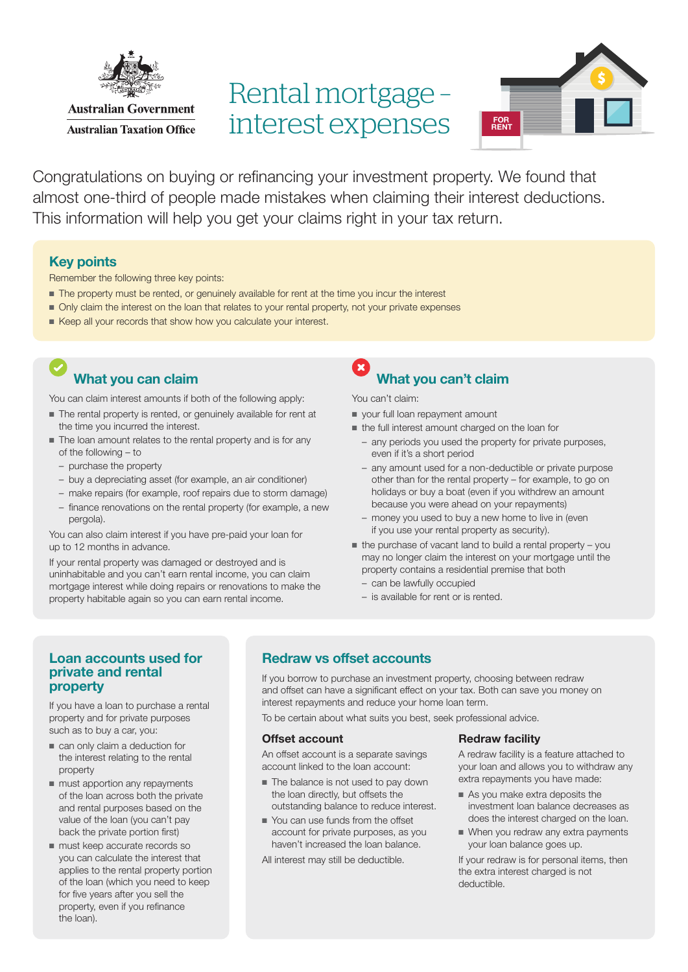

# Rental mortgage – interest expenses



Congratulations on buying or refinancing your investment property. We found that almost one-third of people made mistakes when claiming their interest deductions. This information will help you get your claims right in your tax return.

### Key points

Remember the following three key points:

- The property must be rented, or genuinely available for rent at the time you incur the interest
- Only claim the interest on the loan that relates to your rental property, not your private expenses
- Keep all your records that show how you calculate your interest.

## What you can claim

You can claim interest amounts if both of the following apply:

- The rental property is rented, or genuinely available for rent at the time you incurred the interest.
- The loan amount relates to the rental property and is for any of the following – to
	- purchase the property
	- buy a depreciating asset (for example, an air conditioner)
	- make repairs (for example, roof repairs due to storm damage)
	- finance renovations on the rental property (for example, a new pergola).

You can also claim interest if you have pre-paid your loan for up to 12 months in advance.

If your rental property was damaged or destroyed and is uninhabitable and you can't earn rental income, you can claim mortgage interest while doing repairs or renovations to make the property habitable again so you can earn rental income.

## What you can't claim

You can't claim:

- your full loan repayment amount
- the full interest amount charged on the loan for
	- any periods you used the property for private purposes, even if it's a short period
	- any amount used for a non-deductible or private purpose other than for the rental property – for example, to go on holidays or buy a boat (even if you withdrew an amount because you were ahead on your repayments)
	- money you used to buy a new home to live in (even if you use your rental property as security).
- $\blacksquare$  the purchase of vacant land to build a rental property you may no longer claim the interest on your mortgage until the property contains a residential premise that both
	- can be lawfully occupied
	- is available for rent or is rented.

### Loan accounts used for private and rental property

If you have a loan to purchase a rental property and for private purposes such as to buy a car, you:

- can only claim a deduction for the interest relating to the rental property
- must apportion any repayments of the loan across both the private and rental purposes based on the value of the loan (you can't pay back the private portion first)
- must keep accurate records so you can calculate the interest that applies to the rental property portion of the loan (which you need to keep for five years after you sell the property, even if you refinance the loan).

## Redraw vs offset accounts

If you borrow to purchase an investment property, choosing between redraw and offset can have a significant effect on your tax. Both can save you money on interest repayments and reduce your home loan term.

To be certain about what suits you best, seek professional advice.

#### Offset account

An offset account is a separate savings account linked to the loan account:

- The balance is not used to pay down the loan directly, but offsets the outstanding balance to reduce interest.
- You can use funds from the offset account for private purposes, as you haven't increased the loan balance.

All interest may still be deductible.

#### Redraw facility

A redraw facility is a feature attached to your loan and allows you to withdraw any extra repayments you have made:

- As you make extra deposits the investment loan balance decreases as does the interest charged on the loan.
- When you redraw any extra payments your loan balance goes up.

If your redraw is for personal items, then the extra interest charged is not deductible.